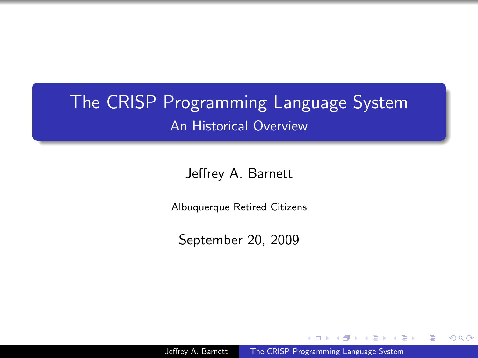## The CRISP Programming Language System An Historical Overview

Jeffrey A. Barnett

Albuquerque Retired Citizens

September 20, 2009

Jeffrey A. Barnett [The CRISP Programming Language System](#page-34-0)

 $\lambda$  =  $\lambda$ 

<span id="page-0-0"></span> $\Omega$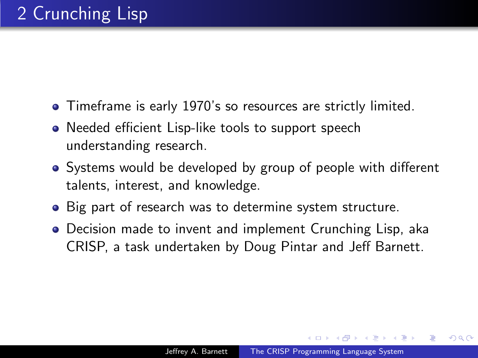- Timeframe is early 1970's so resources are strictly limited.
- Needed efficient Lisp-like tools to support speech understanding research.
- Systems would be developed by group of people with different talents, interest, and knowledge.
- Big part of research was to determine system structure.
- Decision made to invent and implement Crunching Lisp, aka CRISP, a task undertaken by Doug Pintar and Jeff Barnett.

つくへ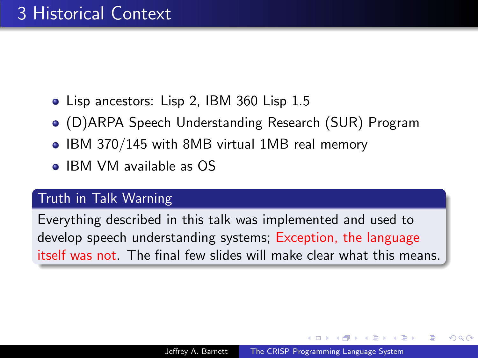- Lisp ancestors: Lisp 2, IBM 360 Lisp 1.5
- (D)ARPA Speech Understanding Research (SUR) Program
- IBM 370/145 with 8MB virtual 1MB real memory
- IBM VM available as OS

### Truth in Talk Warning

Everything described in this talk was implemented and used to develop speech understanding systems; Exception, the language itself was not. The final few slides will make clear what this means.

つくへ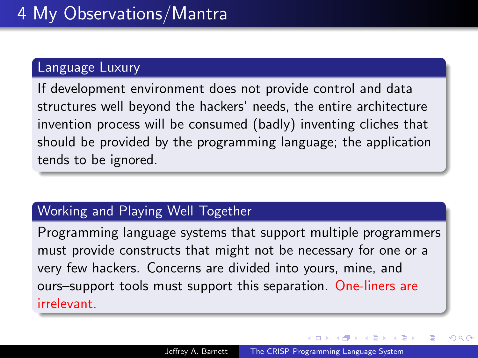### Language Luxury

If development environment does not provide control and data structures well beyond the hackers' needs, the entire architecture invention process will be consumed (badly) inventing cliches that should be provided by the programming language; the application tends to be ignored.

### Working and Playing Well Together

Programming language systems that support multiple programmers must provide constructs that might not be necessary for one or a very few hackers. Concerns are divided into yours, mine, and ours–support tools must support this separation. One-liners are irrelevant.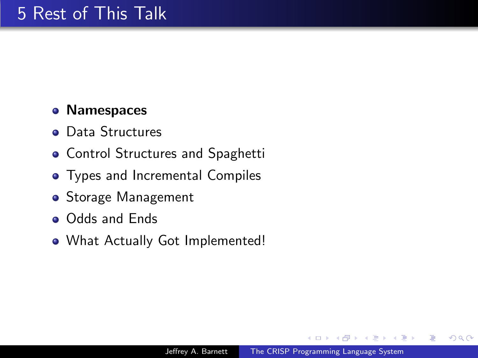## **• Namespaces**

- **o** Data Structures
- **Control Structures and Spaghetti**
- **•** Types and Incremental Compiles
- Storage Management
- **o** Odds and Ends
- What Actually Got Implemented!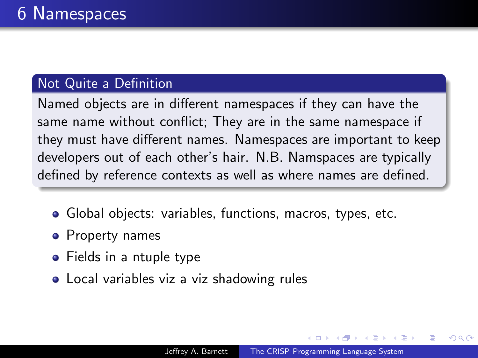## Not Quite a Definition

Named objects are in different namespaces if they can have the same name without conflict; They are in the same namespace if they must have different names. Namespaces are important to keep developers out of each other's hair. N.B. Namspaces are typically defined by reference contexts as well as where names are defined.

- Global objects: variables, functions, macros, types, etc.
- **•** Property names
- Fields in a ntuple type
- Local variables viz a viz shadowing rules

つくへ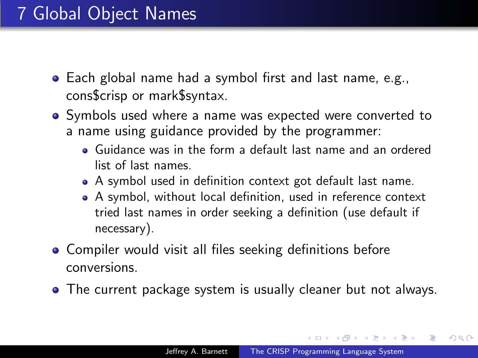- Each global name had a symbol first and last name, e.g., cons\$crisp or mark\$syntax.
- Symbols used where a name was expected were converted to a name using guidance provided by the programmer:
	- Guidance was in the form a default last name and an ordered list of last names.
	- A symbol used in definition context got default last name.
	- A symbol, without local definition, used in reference context tried last names in order seeking a definition (use default if necessary).
- Compiler would visit all files seeking definitions before conversions.
- The current package system is usually cleaner but not always.

 $\mathbb{R}^n \times \mathbb{R}^n \xrightarrow{\sim} \mathbb{R}^n \times \mathbb{R}^n$ 

つくへ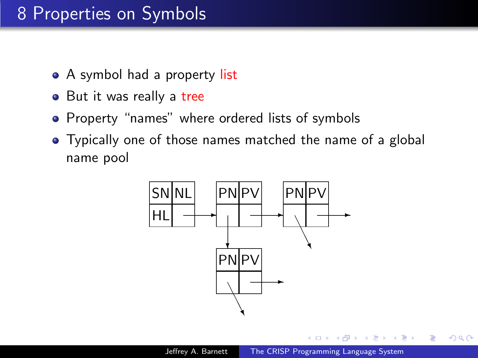## 8 Properties on Symbols

- A symbol had a property list
- But it was really a tree
- Property "names" where ordered lists of symbols
- Typically one of those names matched the name of a global name pool

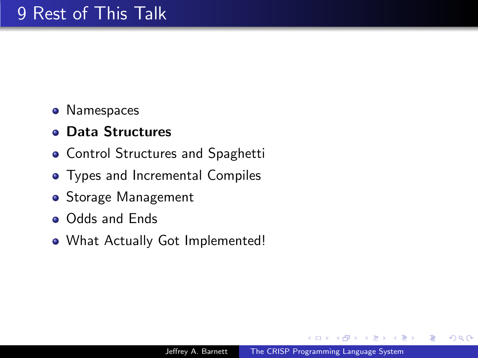- Namespaces
- Data Structures
- **Control Structures and Spaghetti**
- **•** Types and Incremental Compiles
- Storage Management
- **o** Odds and Ends
- What Actually Got Implemented!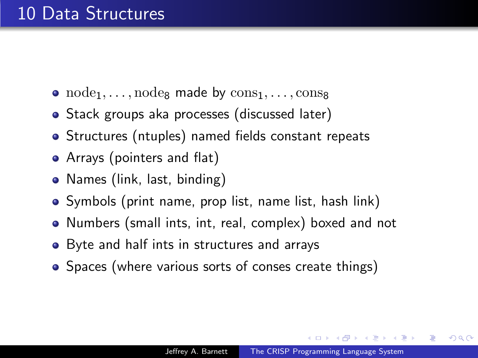- $node_1, \ldots, node_8$  made by  $cons_1, \ldots, cons_8$
- Stack groups aka processes (discussed later)
- Structures (ntuples) named fields constant repeats
- Arrays (pointers and flat)
- Names (link, last, binding)
- Symbols (print name, prop list, name list, hash link)
- Numbers (small ints, int, real, complex) boxed and not
- Byte and half ints in structures and arrays
- Spaces (where various sorts of conses create things)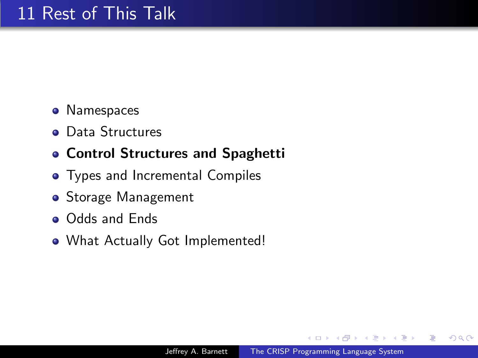- Namespaces
- **o** Data Structures

## Control Structures and Spaghetti

- **•** Types and Incremental Compiles
- Storage Management
- **o** Odds and Ends
- What Actually Got Implemented!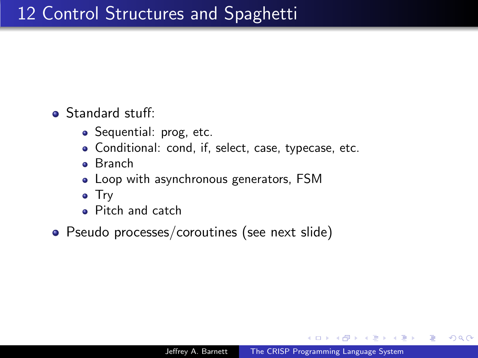**Standard stuff:** 

- Sequential: prog, etc.
- Conditional: cond, if, select, case, typecase, etc.
- Branch
- Loop with asynchronous generators, FSM
- Try
- Pitch and catch
- Pseudo processes/coroutines (see next slide)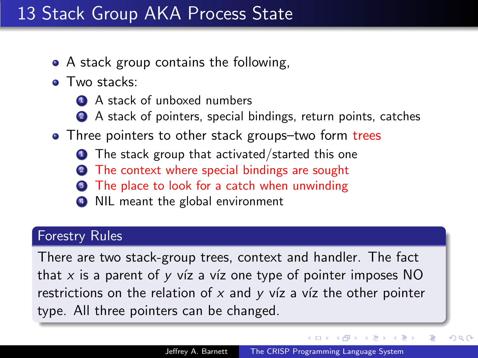## 13 Stack Group AKA Process State

- A stack group contains the following,
- **a** Two stacks:
	- **1** A stack of unboxed numbers
	- 2 A stack of pointers, special bindings, return points, catches
- Three pointers to other stack groups-two form trees
	- $\bullet$  The stack group that activated/started this one
	- The context where special bindings are sought
	- The place to look for a catch when unwinding
	- NIL meant the global environment

### Forestry Rules

There are two stack-group trees, context and handler. The fact that x is a parent of y víz a víz one type of pointer imposes  $NO$ restrictions on the relation of x and y víz a víz the other pointer type. All three pointers can be changed.

∢ロト ∢母ト ∢ヨト ∢ヨト

 $QQ$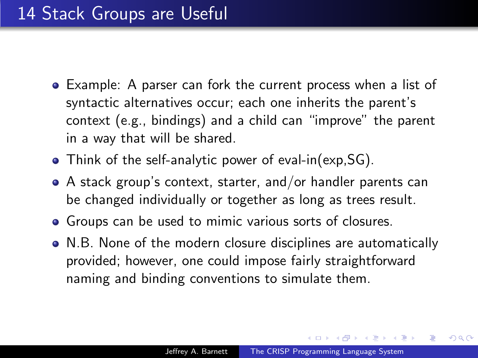- Example: A parser can fork the current process when a list of syntactic alternatives occur; each one inherits the parent's context (e.g., bindings) and a child can "improve" the parent in a way that will be shared.
- Think of the self-analytic power of eval-in(exp,SG).
- A stack group's context, starter, and/or handler parents can be changed individually or together as long as trees result.
- Groups can be used to mimic various sorts of closures.
- N.B. None of the modern closure disciplines are automatically provided; however, one could impose fairly straightforward naming and binding conventions to simulate them.

**NATION**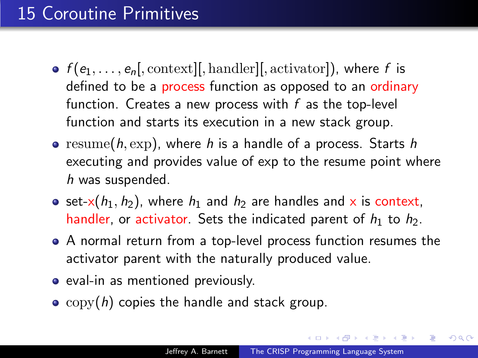## 15 Coroutine Primitives

- $f(e_1, \ldots, e_n]$ , context][, handler][, activator]), where f is defined to be a process function as opposed to an ordinary function. Creates a new process with  $f$  as the top-level function and starts its execution in a new stack group.
- resume(h, exp), where h is a handle of a process. Starts h executing and provides value of exp to the resume point where h was suspended.
- set-x( $h_1$ ,  $h_2$ ), where  $h_1$  and  $h_2$  are handles and x is context, handler, or activator. Sets the indicated parent of  $h_1$  to  $h_2$ .
- A normal return from a top-level process function resumes the activator parent with the naturally produced value.
- eval-in as mentioned previously.
- $\bullet$  copy(h) copies the handle and stack group.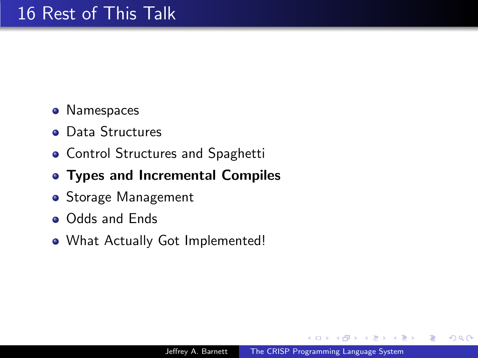- Namespaces
- **o** Data Structures
- **Control Structures and Spaghetti**
- Types and Incremental Compiles
- Storage Management
- **o** Odds and Ends
- What Actually Got Implemented!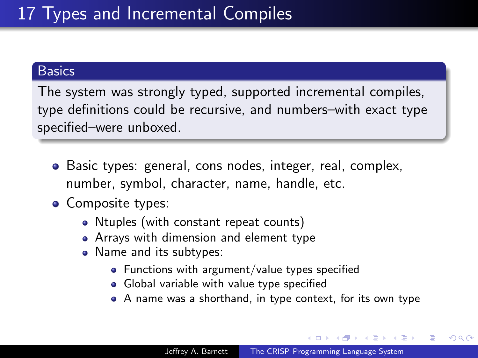### **Basics**

The system was strongly typed, supported incremental compiles, type definitions could be recursive, and numbers–with exact type specified–were unboxed.

- Basic types: general, cons nodes, integer, real, complex, number, symbol, character, name, handle, etc.
- Composite types:
	- Ntuples (with constant repeat counts)
	- Arrays with dimension and element type
	- Name and its subtypes:
		- Functions with argument/value types specified
		- **•** Global variable with value type specified
		- A name was a shorthand, in type context, for its own type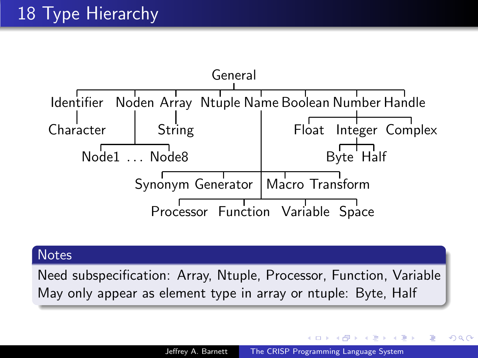

#### **Notes**

Need subspecification: Array, Ntuple, Processor, Function, Variable May only appear as element type in array or ntuple: Byte, Half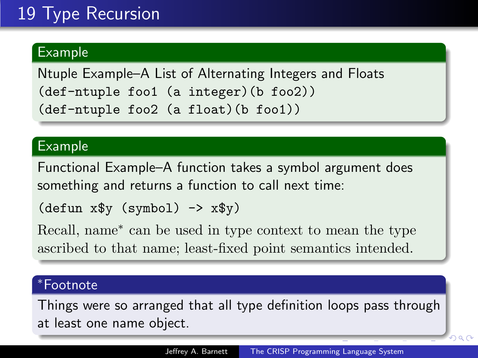## 19 Type Recursion

### Example

Ntuple Example–A List of Alternating Integers and Floats (def-ntuple foo1 (a integer)(b foo2)) (def-ntuple foo2 (a float)(b foo1))

#### Example

Functional Example–A function takes a symbol argument does something and returns a function to call next time:

```
(\text{defun } x\<sup>y</sup> (symbol) -> x\<sup>y</sup>)
```
Recall, name<sup>∗</sup> can be used in type context to mean the type ascribed to that name; least-fixed point semantics intended.

#### <sup>∗</sup>Footnote

Things were so arranged that all type definition loops pass through at least one name object.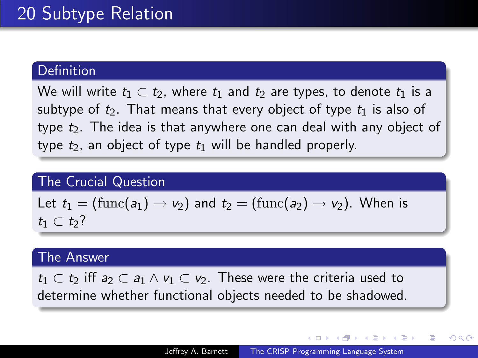### Definition

We will write  $t_1 \subset t_2$ , where  $t_1$  and  $t_2$  are types, to denote  $t_1$  is a subtype of  $t_2$ . That means that every object of type  $t_1$  is also of type  $t_2$ . The idea is that anywhere one can deal with any object of type  $t_2$ , an object of type  $t_1$  will be handled properly.

#### The Crucial Question

Let 
$$
t_1 = (\text{func}(a_1) \rightarrow v_2)
$$
 and  $t_2 = (\text{func}(a_2) \rightarrow v_2)$ . When is  $t_1 \subset t_2$ ?

#### The Answer

 $t_1 \subset t_2$  iff  $a_2 \subset a_1 \wedge v_1 \subset v_2$ . These were the criteria used to determine whether functional objects needed to be shadowed.

- ④ ラ ス ヨ メ ス ヨ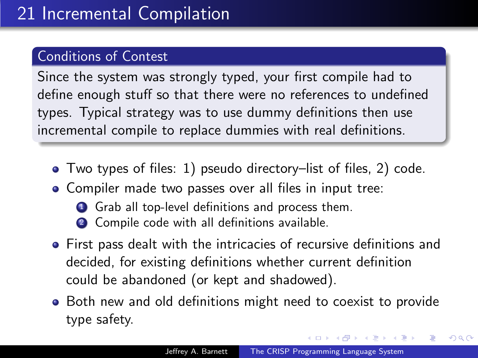### Conditions of Contest

Since the system was strongly typed, your first compile had to define enough stuff so that there were no references to undefined types. Typical strategy was to use dummy definitions then use incremental compile to replace dummies with real definitions.

- Two types of files: 1) pseudo directory–list of files, 2) code.
- Compiler made two passes over all files in input tree:
	- **1** Grab all top-level definitions and process them.
	- 2 Compile code with all definitions available.
- First pass dealt with the intricacies of recursive definitions and decided, for existing definitions whether current definition could be abandoned (or kept and shadowed).
- Both new and old definitions might need to coexist to provide type safety.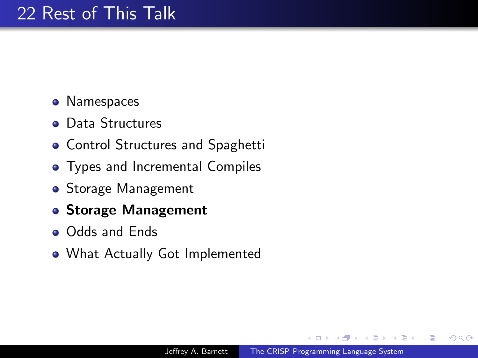- Namespaces
- **o** Data Structures
- **Control Structures and Spaghetti**
- Types and Incremental Compiles
- Storage Management
- Storage Management
- Odds and Ends
- What Actually Got Implemented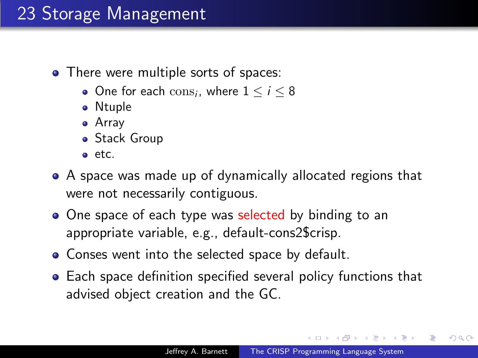- There were multiple sorts of spaces:
	- One for each  $\text{cons}_i$ , where  $1 \leq i \leq 8$
	- Ntuple
	- Array
	- Stack Group
	- etc.
- A space was made up of dynamically allocated regions that were not necessarily contiguous.
- One space of each type was selected by binding to an appropriate variable, e.g., default-cons2\$crisp.
- Conses went into the selected space by default.
- Each space definition specified several policy functions that advised object creation and the GC.

A & Y B & Y B &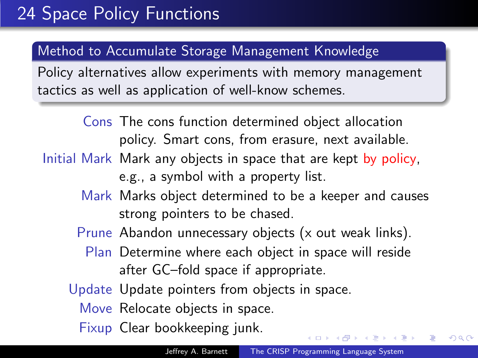### Method to Accumulate Storage Management Knowledge

Policy alternatives allow experiments with memory management tactics as well as application of well-know schemes.

> Cons The cons function determined object allocation policy. Smart cons, from erasure, next available.

- Initial Mark Mark any objects in space that are kept by policy. e.g., a symbol with a property list.
	- Mark Marks object determined to be a keeper and causes strong pointers to be chased.
	- Prune Abandon unnecessary objects (x out weak links).
		- Plan Determine where each object in space will reside after GC–fold space if appropriate.
	- Update Update pointers from objects in space.
		- Move Relocate objects in space.
		- Fixup Clear bookkeeping junk.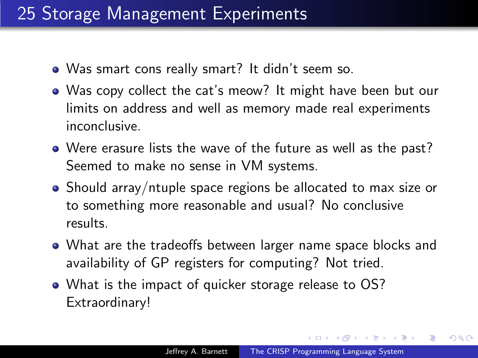## 25 Storage Management Experiments

- Was smart cons really smart? It didn't seem so.
- Was copy collect the cat's meow? It might have been but our limits on address and well as memory made real experiments inconclusive.
- Were erasure lists the wave of the future as well as the past? Seemed to make no sense in VM systems.
- Should array/ntuple space regions be allocated to max size or to something more reasonable and usual? No conclusive results.
- What are the tradeoffs between larger name space blocks and availability of GP registers for computing? Not tried.
- What is the impact of quicker storage release to OS? Extraordinary!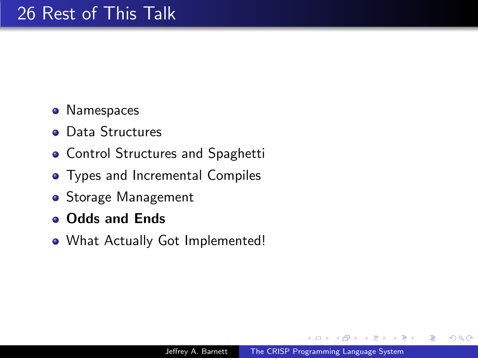- Namespaces
- **o** Data Structures
- **Control Structures and Spaghetti**
- **•** Types and Incremental Compiles
- Storage Management
- **o** Odds and Ends
- What Actually Got Implemented!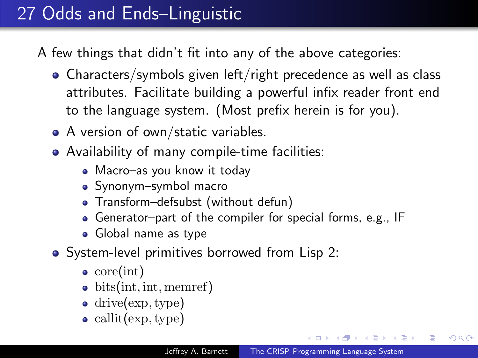# 27 Odds and Ends–Linguistic

A few things that didn't fit into any of the above categories:

- Characters/symbols given left/right precedence as well as class attributes. Facilitate building a powerful infix reader front end to the language system. (Most prefix herein is for you).
- A version of own/static variables.
- Availability of many compile-time facilities:
	- Macro-as you know it today
	- Synonym–symbol macro
	- Transform–defsubst (without defun)
	- Generator–part of the compiler for special forms, e.g., IF
	- Global name as type
- System-level primitives borrowed from Lisp 2:
	- $\bullet$  core(int)
	- bits(int, int, memref)
	- drive(exp, type)
	- callit(exp, type)

a mills

∢何 ▶ ∢ ヨ ▶ ∢ ヨ ▶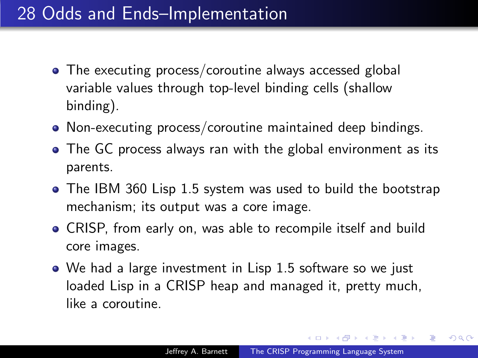## 28 Odds and Ends–Implementation

- The executing process/coroutine always accessed global variable values through top-level binding cells (shallow binding).
- Non-executing process/coroutine maintained deep bindings.
- The GC process always ran with the global environment as its parents.
- The IBM 360 Lisp 1.5 system was used to build the bootstrap mechanism; its output was a core image.
- CRISP, from early on, was able to recompile itself and build core images.
- We had a large investment in Lisp 1.5 software so we just loaded Lisp in a CRISP heap and managed it, pretty much, like a coroutine.

**CARD AREA**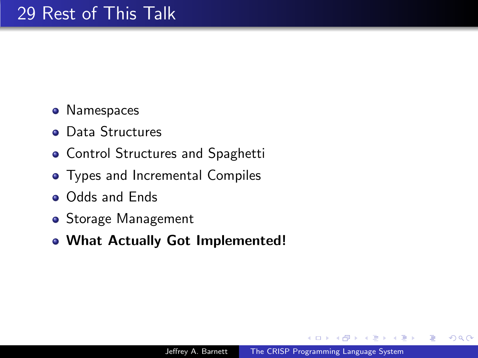- Namespaces
- **o** Data Structures
- **Control Structures and Spaghetti**
- Types and Incremental Compiles
- **Odds and Ends**
- Storage Management
- What Actually Got Implemented!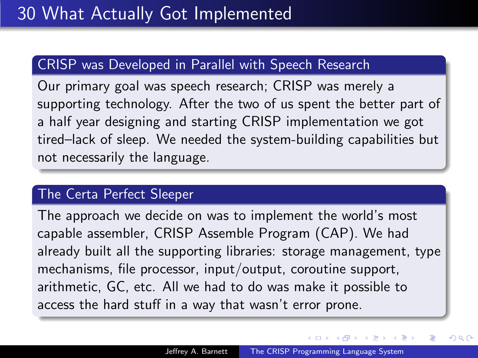### CRISP was Developed in Parallel with Speech Research

Our primary goal was speech research; CRISP was merely a supporting technology. After the two of us spent the better part of a half year designing and starting CRISP implementation we got tired–lack of sleep. We needed the system-building capabilities but not necessarily the language.

#### The Certa Perfect Sleeper

The approach we decide on was to implement the world's most capable assembler, CRISP Assemble Program (CAP). We had already built all the supporting libraries: storage management, type mechanisms, file processor, input/output, coroutine support, arithmetic, GC, etc. All we had to do was make it possible to access the hard stuff in a way that wasn't error prone.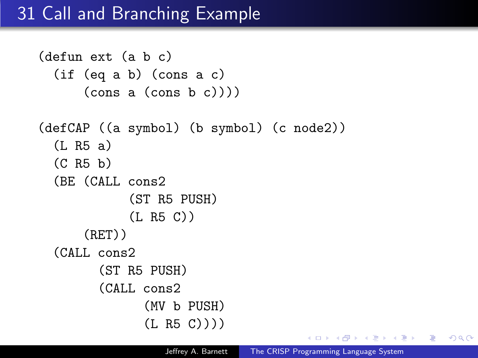## 31 Call and Branching Example

```
(defun ext (a b c)
 (if (eq a b) (cons a c)
     (cons a (cons b c)))(defCAP ((a symbol) (b symbol) (c node2))
 (L R5 a)
 (C R5 b)
 (BE (CALL cons2
           (ST R5 PUSH)
           (L R5 C))
     (RET))
 (CALL cons2
       (ST R5 PUSH)
       (CALL cons2
             (MV b PUSH)
             (L R5 C))))
```
 $\lambda$   $\lambda$   $\lambda$ 

 $\Omega$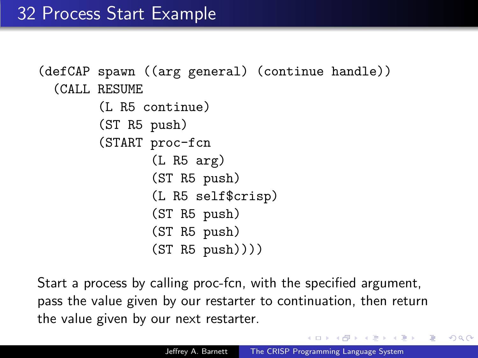```
(defCAP spawn ((arg general) (continue handle))
 (CALL RESUME
       (L R5 continue)
       (ST R5 push)
       (START proc-fcn
              (L R5 arg)
              (ST R5 push)
              (L R5 self$crisp)
              (ST R5 push)
              (ST R5 push)
              (ST R5 push)))
```
Start a process by calling proc-fcn, with the specified argument, pass the value given by our restarter to continuation, then return the value given by our next restarter.

 $\Omega$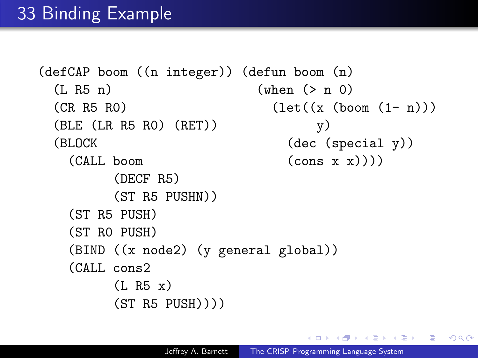```
(defCAP boom ((n integer)) (defun boom (n)
(L R5 n) (when (> n 0)(CR R5 R0) (let((x (boom (1-n)))(BLE (LR R5 R0) (RET)) y)
(BLOCK (Special y))
  (CALL boom (cons x x)))(DECF R5)
      (ST R5 PUSHN))
  (ST R5 PUSH)
  (ST R0 PUSH)
  (BIND ((x node2) (y general global))
  (CALL cons2
      (L R5 x)(ST R5 PUSH))))
```
**No. Administration Administration**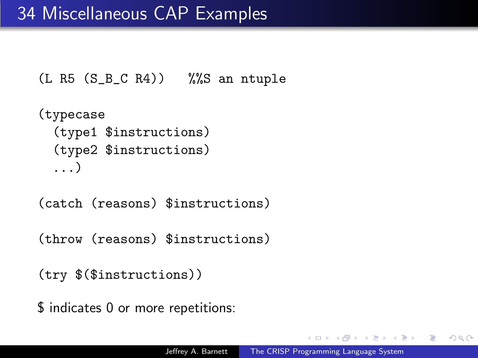```
(L R5 (S_B_C R4)) %%S an ntuple
```

```
(typecase
 (type1 $instructions)
 (type2 $instructions)
 ...)
```
(catch (reasons) \$instructions)

(throw (reasons) \$instructions)

(try \$(\$instructions))

\$ indicates 0 or more repetitions: